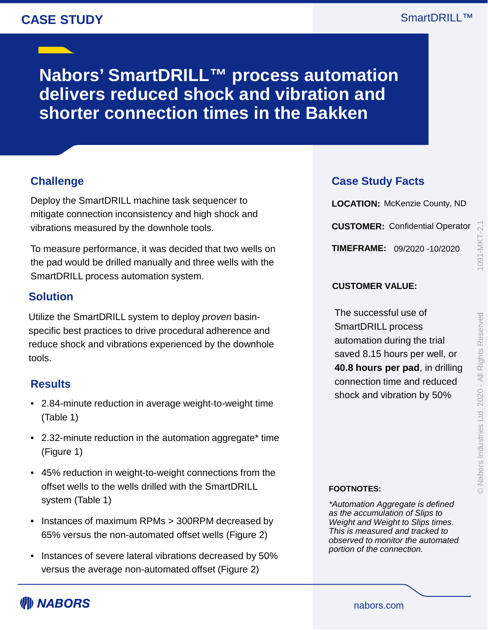## **CASE STUDY**

**Nabors' SmartDRILL™ process automation delivers reduced shock and vibration and shorter connection times in the Bakken**

### **Challenge**

Deploy the SmartDRILL machine task sequencer to mitigate connection inconsistency and high shock and vibrations measured by the downhole tools.

To measure performance, it was decided that two wells on the pad would be drilled manually and three wells with the SmartDRILL process automation system.

### **Solution**

Utilize the SmartDRILL system to deploy *proven* basinspecific best practices to drive procedural adherence and reduce shock and vibrations experienced by the downhole tools.

### **Results**

- 2.84-minute reduction in average weight-to-weight time (Table 1)
- 2.32-minute reduction in the automation aggregate\* time (Figure 1)
- 45% reduction in weight-to-weight connections from the offset wells to the wells drilled with the SmartDRILL system (Table 1)
- Instances of maximum RPMs > 300RPM decreased by 65% versus the non-automated offset wells (Figure 2)
- Instances of severe lateral vibrations decreased by 50% versus the average non-automated offset (Figure 2)

### **Case Study Facts**

**LOCATION:** McKenzie County, ND **CUSTOMER:** Confidential Operator **TIMEFRAME:** 09/2020 -10/2020

© Nabors Industries Ltd. 2020 - All Rights Reserved

#### **CUSTOMER VALUE:**

The successful use of SmartDRILL process automation during the trial saved 8.15 hours per well, or **40.8 hours per pad**, in drilling connection time and reduced shock and vibration by 50%

#### **FOOTNOTES:**

*\*Automation Aggregate is defined as the accumulation of Slips to Weight and Weight to Slips times. This is measured and tracked to observed to monitor the automated portion of the connection.*

nabors.com